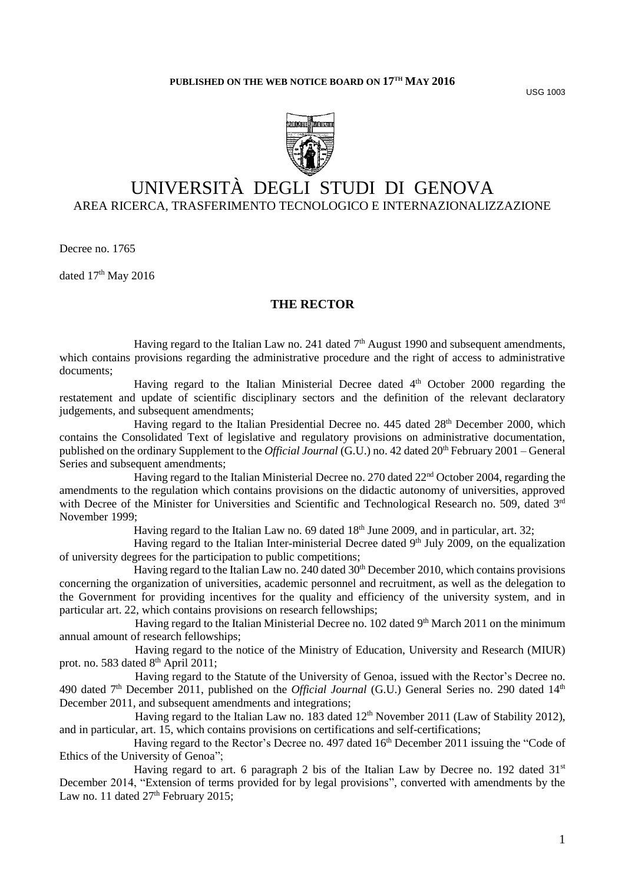USG 1003



# UNIVERSITÀ DEGLI STUDI DI GENOVA AREA RICERCA, TRASFERIMENTO TECNOLOGICO E INTERNAZIONALIZZAZIONE

Decree no. 1765

dated 17<sup>th</sup> May 2016

## **THE RECTOR**

Having regard to the Italian Law no. 241 dated  $7<sup>th</sup>$  August 1990 and subsequent amendments, which contains provisions regarding the administrative procedure and the right of access to administrative documents;

Having regard to the Italian Ministerial Decree dated 4<sup>th</sup> October 2000 regarding the restatement and update of scientific disciplinary sectors and the definition of the relevant declaratory judgements, and subsequent amendments;

Having regard to the Italian Presidential Decree no. 445 dated 28<sup>th</sup> December 2000, which contains the Consolidated Text of legislative and regulatory provisions on administrative documentation, published on the ordinary Supplement to the *Official Journal* (G.U.) no. 42 dated 20th February 2001 – General Series and subsequent amendments;

Having regard to the Italian Ministerial Decree no. 270 dated 22<sup>nd</sup> October 2004, regarding the amendments to the regulation which contains provisions on the didactic autonomy of universities, approved with Decree of the Minister for Universities and Scientific and Technological Research no. 509, dated 3rd November 1999;

Having regard to the Italian Law no. 69 dated  $18<sup>th</sup>$  June 2009, and in particular, art. 32;

Having regard to the Italian Inter-ministerial Decree dated 9<sup>th</sup> July 2009, on the equalization of university degrees for the participation to public competitions;

Having regard to the Italian Law no. 240 dated  $30<sup>th</sup>$  December 2010, which contains provisions concerning the organization of universities, academic personnel and recruitment, as well as the delegation to the Government for providing incentives for the quality and efficiency of the university system, and in particular art. 22, which contains provisions on research fellowships;

Having regard to the Italian Ministerial Decree no. 102 dated 9<sup>th</sup> March 2011 on the minimum annual amount of research fellowships;

Having regard to the notice of the Ministry of Education, University and Research (MIUR) prot. no. 583 dated 8<sup>th</sup> April 2011;

Having regard to the Statute of the University of Genoa, issued with the Rector's Decree no. 490 dated 7<sup>th</sup> December 2011, published on the *Official Journal* (G.U.) General Series no. 290 dated 14<sup>th</sup> December 2011, and subsequent amendments and integrations;

Having regard to the Italian Law no. 183 dated  $12<sup>th</sup>$  November 2011 (Law of Stability 2012), and in particular, art. 15, which contains provisions on certifications and self-certifications;

Having regard to the Rector's Decree no. 497 dated 16<sup>th</sup> December 2011 issuing the "Code of Ethics of the University of Genoa";

Having regard to art. 6 paragraph 2 bis of the Italian Law by Decree no. 192 dated  $31<sup>st</sup>$ December 2014, "Extension of terms provided for by legal provisions", converted with amendments by the Law no. 11 dated 27<sup>th</sup> February 2015;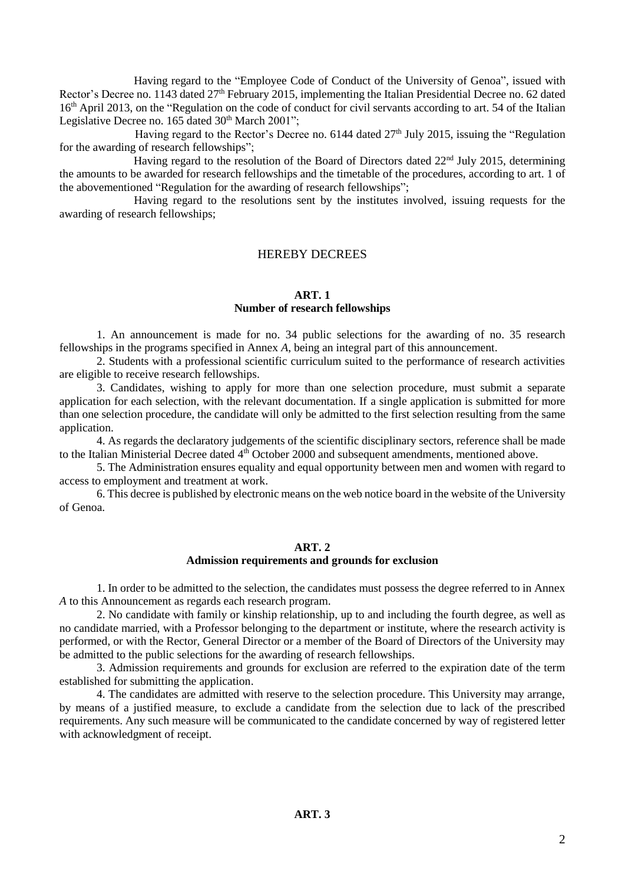Having regard to the "Employee Code of Conduct of the University of Genoa", issued with Rector's Decree no. 1143 dated 27<sup>th</sup> February 2015, implementing the Italian Presidential Decree no. 62 dated 16<sup>th</sup> April 2013, on the "Regulation on the code of conduct for civil servants according to art. 54 of the Italian Legislative Decree no.  $165$  dated  $30<sup>th</sup>$  March  $2001$ ";

Having regard to the Rector's Decree no.  $6144$  dated  $27<sup>th</sup>$  July 2015, issuing the "Regulation" for the awarding of research fellowships";

Having regard to the resolution of the Board of Directors dated  $22<sup>nd</sup>$  July 2015, determining the amounts to be awarded for research fellowships and the timetable of the procedures, according to art. 1 of the abovementioned "Regulation for the awarding of research fellowships";

Having regard to the resolutions sent by the institutes involved, issuing requests for the awarding of research fellowships;

## HEREBY DECREES

#### **ART. 1**

## **Number of research fellowships**

1. An announcement is made for no. 34 public selections for the awarding of no. 35 research fellowships in the programs specified in Annex *A*, being an integral part of this announcement.

2. Students with a professional scientific curriculum suited to the performance of research activities are eligible to receive research fellowships.

3. Candidates, wishing to apply for more than one selection procedure, must submit a separate application for each selection, with the relevant documentation. If a single application is submitted for more than one selection procedure, the candidate will only be admitted to the first selection resulting from the same application.

4. As regards the declaratory judgements of the scientific disciplinary sectors, reference shall be made to the Italian Ministerial Decree dated 4<sup>th</sup> October 2000 and subsequent amendments, mentioned above.

5. The Administration ensures equality and equal opportunity between men and women with regard to access to employment and treatment at work.

6. This decree is published by electronic means on the web notice board in the website of the University of Genoa.

#### **ART. 2**

#### **Admission requirements and grounds for exclusion**

1. In order to be admitted to the selection, the candidates must possess the degree referred to in Annex *A* to this Announcement as regards each research program.

2. No candidate with family or kinship relationship, up to and including the fourth degree, as well as no candidate married, with a Professor belonging to the department or institute, where the research activity is performed, or with the Rector, General Director or a member of the Board of Directors of the University may be admitted to the public selections for the awarding of research fellowships.

3. Admission requirements and grounds for exclusion are referred to the expiration date of the term established for submitting the application.

4. The candidates are admitted with reserve to the selection procedure. This University may arrange, by means of a justified measure, to exclude a candidate from the selection due to lack of the prescribed requirements. Any such measure will be communicated to the candidate concerned by way of registered letter with acknowledgment of receipt.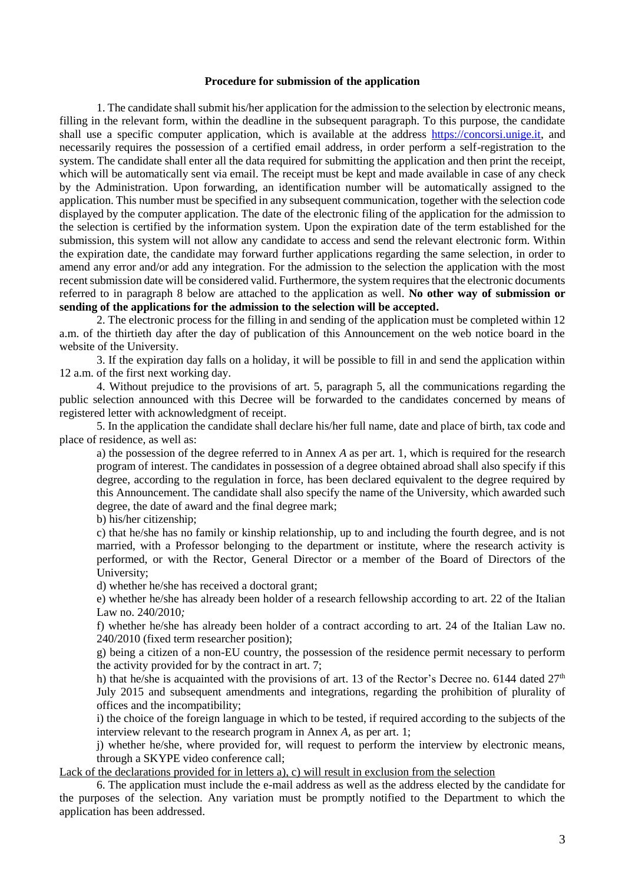## **Procedure for submission of the application**

1. The candidate shall submit his/her application for the admission to the selection by electronic means, filling in the relevant form, within the deadline in the subsequent paragraph. To this purpose, the candidate shall use a specific computer application, which is available at the address [https://concorsi.unige.it,](https://concorsi.unige.it/) and necessarily requires the possession of a certified email address, in order perform a self-registration to the system. The candidate shall enter all the data required for submitting the application and then print the receipt, which will be automatically sent via email. The receipt must be kept and made available in case of any check by the Administration. Upon forwarding, an identification number will be automatically assigned to the application. This number must be specified in any subsequent communication, together with the selection code displayed by the computer application. The date of the electronic filing of the application for the admission to the selection is certified by the information system. Upon the expiration date of the term established for the submission, this system will not allow any candidate to access and send the relevant electronic form. Within the expiration date, the candidate may forward further applications regarding the same selection, in order to amend any error and/or add any integration. For the admission to the selection the application with the most recent submission date will be considered valid. Furthermore, the system requires that the electronic documents referred to in paragraph 8 below are attached to the application as well. **No other way of submission or sending of the applications for the admission to the selection will be accepted.** 

2. The electronic process for the filling in and sending of the application must be completed within 12 a.m. of the thirtieth day after the day of publication of this Announcement on the web notice board in the website of the University.

3. If the expiration day falls on a holiday, it will be possible to fill in and send the application within 12 a.m. of the first next working day.

4. Without prejudice to the provisions of art. 5, paragraph 5, all the communications regarding the public selection announced with this Decree will be forwarded to the candidates concerned by means of registered letter with acknowledgment of receipt.

5. In the application the candidate shall declare his/her full name, date and place of birth, tax code and place of residence, as well as:

a) the possession of the degree referred to in Annex *A* as per art. 1, which is required for the research program of interest. The candidates in possession of a degree obtained abroad shall also specify if this degree, according to the regulation in force, has been declared equivalent to the degree required by this Announcement. The candidate shall also specify the name of the University, which awarded such degree, the date of award and the final degree mark;

b) his/her citizenship;

c) that he/she has no family or kinship relationship, up to and including the fourth degree, and is not married, with a Professor belonging to the department or institute, where the research activity is performed, or with the Rector, General Director or a member of the Board of Directors of the University;

d) whether he/she has received a doctoral grant;

e) whether he/she has already been holder of a research fellowship according to art. 22 of the Italian Law no. 240/2010*;*

f) whether he/she has already been holder of a contract according to art. 24 of the Italian Law no. 240/2010 (fixed term researcher position);

g) being a citizen of a non-EU country, the possession of the residence permit necessary to perform the activity provided for by the contract in art. 7;

h) that he/she is acquainted with the provisions of art. 13 of the Rector's Decree no. 6144 dated  $27<sup>th</sup>$ July 2015 and subsequent amendments and integrations, regarding the prohibition of plurality of offices and the incompatibility;

i) the choice of the foreign language in which to be tested, if required according to the subjects of the interview relevant to the research program in Annex *A*, as per art. 1;

j) whether he/she, where provided for, will request to perform the interview by electronic means, through a SKYPE video conference call;

Lack of the declarations provided for in letters a), c) will result in exclusion from the selection

6. The application must include the e-mail address as well as the address elected by the candidate for the purposes of the selection. Any variation must be promptly notified to the Department to which the application has been addressed.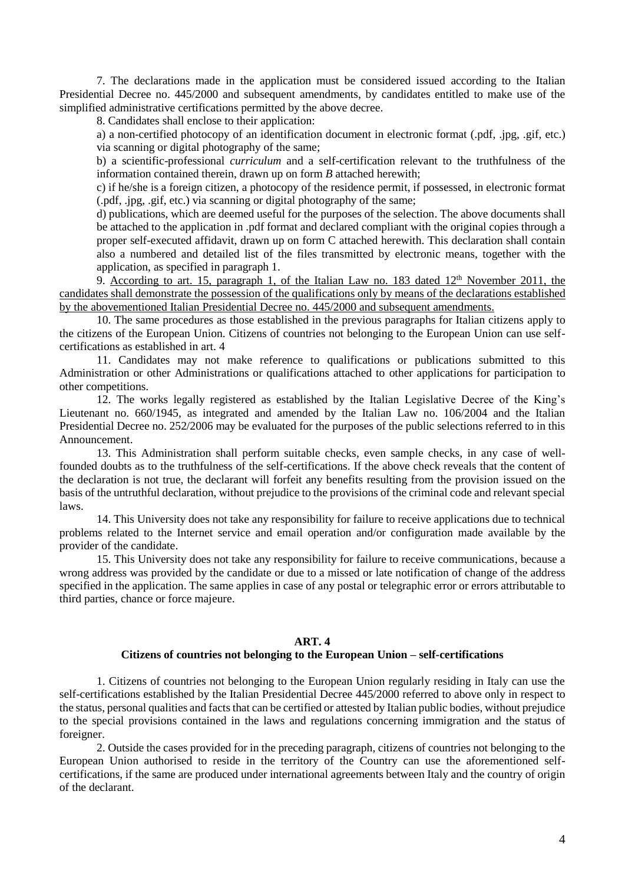7. The declarations made in the application must be considered issued according to the Italian Presidential Decree no. 445/2000 and subsequent amendments, by candidates entitled to make use of the simplified administrative certifications permitted by the above decree.

8. Candidates shall enclose to their application:

a) a non-certified photocopy of an identification document in electronic format (.pdf, .jpg, .gif, etc.) via scanning or digital photography of the same;

b) a scientific-professional *curriculum* and a self-certification relevant to the truthfulness of the information contained therein, drawn up on form *B* attached herewith;

c) if he/she is a foreign citizen, a photocopy of the residence permit, if possessed, in electronic format (.pdf, .jpg, .gif, etc.) via scanning or digital photography of the same;

d) publications, which are deemed useful for the purposes of the selection. The above documents shall be attached to the application in .pdf format and declared compliant with the original copies through a proper self-executed affidavit, drawn up on form C attached herewith. This declaration shall contain also a numbered and detailed list of the files transmitted by electronic means, together with the application, as specified in paragraph 1.

9. According to art. 15, paragraph 1, of the Italian Law no. 183 dated  $12<sup>th</sup>$  November 2011, the candidates shall demonstrate the possession of the qualifications only by means of the declarations established by the abovementioned Italian Presidential Decree no. 445/2000 and subsequent amendments.

10. The same procedures as those established in the previous paragraphs for Italian citizens apply to the citizens of the European Union. Citizens of countries not belonging to the European Union can use selfcertifications as established in art. 4

11. Candidates may not make reference to qualifications or publications submitted to this Administration or other Administrations or qualifications attached to other applications for participation to other competitions.

12. The works legally registered as established by the Italian Legislative Decree of the King's Lieutenant no. 660/1945, as integrated and amended by the Italian Law no. 106/2004 and the Italian Presidential Decree no. 252/2006 may be evaluated for the purposes of the public selections referred to in this Announcement.

13. This Administration shall perform suitable checks, even sample checks, in any case of wellfounded doubts as to the truthfulness of the self-certifications. If the above check reveals that the content of the declaration is not true, the declarant will forfeit any benefits resulting from the provision issued on the basis of the untruthful declaration, without prejudice to the provisions of the criminal code and relevant special laws.

14. This University does not take any responsibility for failure to receive applications due to technical problems related to the Internet service and email operation and/or configuration made available by the provider of the candidate.

15. This University does not take any responsibility for failure to receive communications, because a wrong address was provided by the candidate or due to a missed or late notification of change of the address specified in the application. The same applies in case of any postal or telegraphic error or errors attributable to third parties, chance or force majeure.

## **ART. 4**

#### **Citizens of countries not belonging to the European Union – self-certifications**

1. Citizens of countries not belonging to the European Union regularly residing in Italy can use the self-certifications established by the Italian Presidential Decree 445/2000 referred to above only in respect to the status, personal qualities and facts that can be certified or attested by Italian public bodies, without prejudice to the special provisions contained in the laws and regulations concerning immigration and the status of foreigner.

2. Outside the cases provided for in the preceding paragraph, citizens of countries not belonging to the European Union authorised to reside in the territory of the Country can use the aforementioned selfcertifications, if the same are produced under international agreements between Italy and the country of origin of the declarant.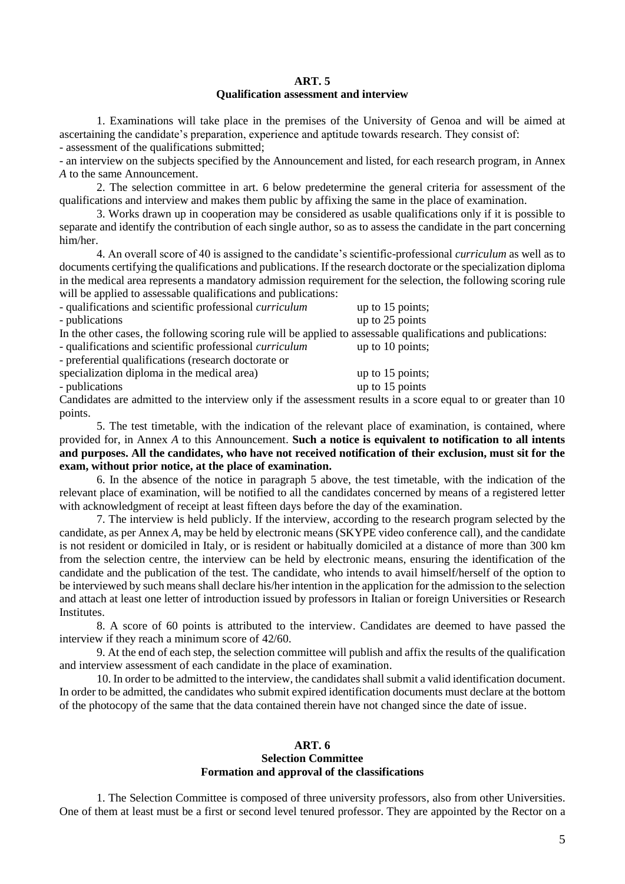#### **ART. 5**

#### **Qualification assessment and interview**

1. Examinations will take place in the premises of the University of Genoa and will be aimed at ascertaining the candidate's preparation, experience and aptitude towards research. They consist of: - assessment of the qualifications submitted;

- an interview on the subjects specified by the Announcement and listed, for each research program, in Annex *A* to the same Announcement.

2. The selection committee in art. 6 below predetermine the general criteria for assessment of the qualifications and interview and makes them public by affixing the same in the place of examination.

3. Works drawn up in cooperation may be considered as usable qualifications only if it is possible to separate and identify the contribution of each single author, so as to assess the candidate in the part concerning him/her.

4. An overall score of 40 is assigned to the candidate's scientific-professional *curriculum* as well as to documents certifying the qualifications and publications. If the research doctorate or the specialization diploma in the medical area represents a mandatory admission requirement for the selection, the following scoring rule will be applied to assessable qualifications and publications:

| - qualifications and scientific professional <i>curriculum</i>                                                                                 | up to $15$ points; |
|------------------------------------------------------------------------------------------------------------------------------------------------|--------------------|
| - publications                                                                                                                                 | up to 25 points    |
| In the other cases, the following scoring rule will be applied to assessable qualifications and publications:                                  |                    |
| - qualifications and scientific professional <i>curriculum</i>                                                                                 | up to $10$ points; |
| - preferential qualifications (research doctorate or                                                                                           |                    |
| specialization diploma in the medical area)                                                                                                    | up to $15$ points; |
| - publications                                                                                                                                 | up to 15 points    |
| the contract of the contract of the contract of the contract of the contract of the contract of the contract of<br>$\sim$ $\sim$ $\sim$ $\sim$ |                    |

Candidates are admitted to the interview only if the assessment results in a score equal to or greater than 10 points.

5. The test timetable, with the indication of the relevant place of examination, is contained, where provided for, in Annex *A* to this Announcement. **Such a notice is equivalent to notification to all intents and purposes. All the candidates, who have not received notification of their exclusion, must sit for the exam, without prior notice, at the place of examination.**

6. In the absence of the notice in paragraph 5 above, the test timetable, with the indication of the relevant place of examination, will be notified to all the candidates concerned by means of a registered letter with acknowledgment of receipt at least fifteen days before the day of the examination.

7. The interview is held publicly. If the interview, according to the research program selected by the candidate, as per Annex *A*, may be held by electronic means (SKYPE video conference call), and the candidate is not resident or domiciled in Italy, or is resident or habitually domiciled at a distance of more than 300 km from the selection centre, the interview can be held by electronic means, ensuring the identification of the candidate and the publication of the test. The candidate, who intends to avail himself/herself of the option to be interviewed by such means shall declare his/her intention in the application for the admission to the selection and attach at least one letter of introduction issued by professors in Italian or foreign Universities or Research Institutes.

8. A score of 60 points is attributed to the interview. Candidates are deemed to have passed the interview if they reach a minimum score of 42/60.

9. At the end of each step, the selection committee will publish and affix the results of the qualification and interview assessment of each candidate in the place of examination.

10. In order to be admitted to the interview, the candidates shall submit a valid identification document. In order to be admitted, the candidates who submit expired identification documents must declare at the bottom of the photocopy of the same that the data contained therein have not changed since the date of issue.

## **ART. 6 Selection Committee Formation and approval of the classifications**

1. The Selection Committee is composed of three university professors, also from other Universities. One of them at least must be a first or second level tenured professor. They are appointed by the Rector on a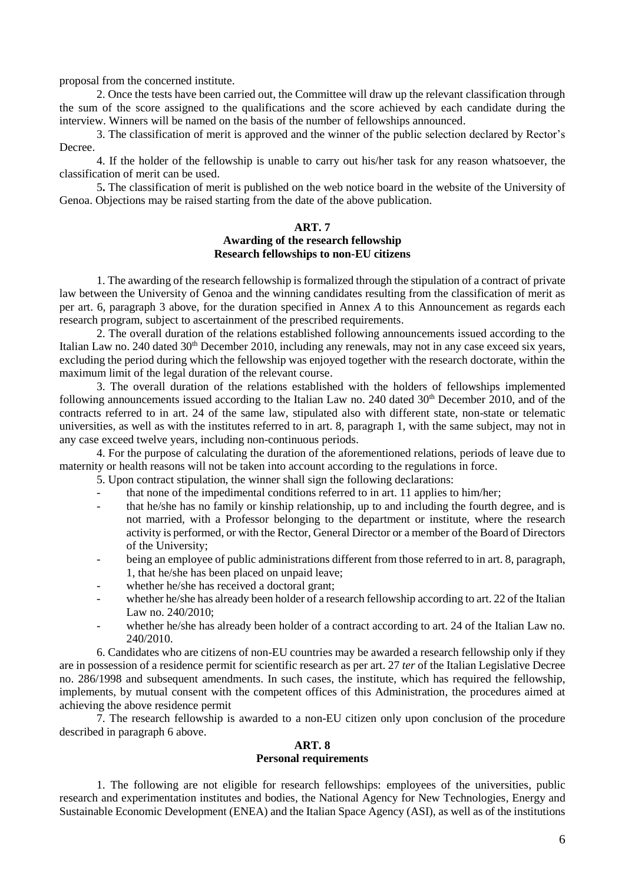proposal from the concerned institute.

2. Once the tests have been carried out, the Committee will draw up the relevant classification through the sum of the score assigned to the qualifications and the score achieved by each candidate during the interview. Winners will be named on the basis of the number of fellowships announced.

3. The classification of merit is approved and the winner of the public selection declared by Rector's Decree.

4. If the holder of the fellowship is unable to carry out his/her task for any reason whatsoever, the classification of merit can be used.

5**.** The classification of merit is published on the web notice board in the website of the University of Genoa. Objections may be raised starting from the date of the above publication.

## **ART. 7 Awarding of the research fellowship Research fellowships to non-EU citizens**

1. The awarding of the research fellowship is formalized through the stipulation of a contract of private law between the University of Genoa and the winning candidates resulting from the classification of merit as per art. 6, paragraph 3 above, for the duration specified in Annex *A* to this Announcement as regards each research program, subject to ascertainment of the prescribed requirements.

2. The overall duration of the relations established following announcements issued according to the Italian Law no. 240 dated 30<sup>th</sup> December 2010, including any renewals, may not in any case exceed six years, excluding the period during which the fellowship was enjoyed together with the research doctorate, within the maximum limit of the legal duration of the relevant course.

3. The overall duration of the relations established with the holders of fellowships implemented following announcements issued according to the Italian Law no. 240 dated  $30<sup>th</sup>$  December 2010, and of the contracts referred to in art. 24 of the same law, stipulated also with different state, non-state or telematic universities, as well as with the institutes referred to in art. 8, paragraph 1, with the same subject, may not in any case exceed twelve years, including non-continuous periods.

4. For the purpose of calculating the duration of the aforementioned relations, periods of leave due to maternity or health reasons will not be taken into account according to the regulations in force.

5. Upon contract stipulation, the winner shall sign the following declarations:

- that none of the impedimental conditions referred to in art. 11 applies to him/her;
- that he/she has no family or kinship relationship, up to and including the fourth degree, and is not married, with a Professor belonging to the department or institute, where the research activity is performed, or with the Rector, General Director or a member of the Board of Directors of the University;
- being an employee of public administrations different from those referred to in art. 8, paragraph, 1, that he/she has been placed on unpaid leave;
- whether he/she has received a doctoral grant;
- whether he/she has already been holder of a research fellowship according to art. 22 of the Italian Law no. 240/2010;
- whether he/she has already been holder of a contract according to art. 24 of the Italian Law no. 240/2010.

6. Candidates who are citizens of non-EU countries may be awarded a research fellowship only if they are in possession of a residence permit for scientific research as per art. 27 *ter* of the Italian Legislative Decree no. 286/1998 and subsequent amendments. In such cases, the institute, which has required the fellowship, implements, by mutual consent with the competent offices of this Administration, the procedures aimed at achieving the above residence permit

7. The research fellowship is awarded to a non-EU citizen only upon conclusion of the procedure described in paragraph 6 above.

## **ART. 8**

## **Personal requirements**

1. The following are not eligible for research fellowships: employees of the universities, public research and experimentation institutes and bodies, the National Agency for New Technologies, Energy and Sustainable Economic Development (ENEA) and the Italian Space Agency (ASI), as well as of the institutions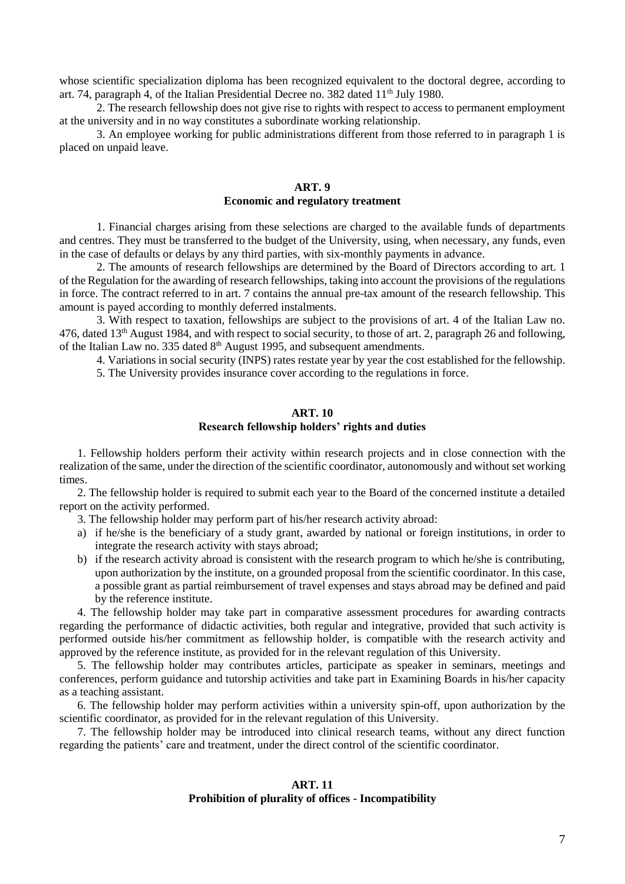whose scientific specialization diploma has been recognized equivalent to the doctoral degree, according to art. 74, paragraph 4, of the Italian Presidential Decree no. 382 dated  $11<sup>th</sup>$  July 1980.

2. The research fellowship does not give rise to rights with respect to access to permanent employment at the university and in no way constitutes a subordinate working relationship.

3. An employee working for public administrations different from those referred to in paragraph 1 is placed on unpaid leave.

## **ART. 9**

## **Economic and regulatory treatment**

1. Financial charges arising from these selections are charged to the available funds of departments and centres. They must be transferred to the budget of the University, using, when necessary, any funds, even in the case of defaults or delays by any third parties, with six-monthly payments in advance.

2. The amounts of research fellowships are determined by the Board of Directors according to art. 1 of the Regulation for the awarding of research fellowships, taking into account the provisions of the regulations in force. The contract referred to in art. 7 contains the annual pre-tax amount of the research fellowship. This amount is payed according to monthly deferred instalments.

3. With respect to taxation, fellowships are subject to the provisions of art. 4 of the Italian Law no. 476, dated 13th August 1984, and with respect to social security, to those of art. 2, paragraph 26 and following, of the Italian Law no. 335 dated  $8<sup>th</sup>$  August 1995, and subsequent amendments.

4. Variations in social security (INPS) rates restate year by year the cost established for the fellowship.

5. The University provides insurance cover according to the regulations in force.

## **ART. 10 Research fellowship holders' rights and duties**

1. Fellowship holders perform their activity within research projects and in close connection with the realization of the same, under the direction of the scientific coordinator, autonomously and without set working times.

2. The fellowship holder is required to submit each year to the Board of the concerned institute a detailed report on the activity performed.

3. The fellowship holder may perform part of his/her research activity abroad:

- a) if he/she is the beneficiary of a study grant, awarded by national or foreign institutions, in order to integrate the research activity with stays abroad;
- b) if the research activity abroad is consistent with the research program to which he/she is contributing, upon authorization by the institute, on a grounded proposal from the scientific coordinator. In this case, a possible grant as partial reimbursement of travel expenses and stays abroad may be defined and paid by the reference institute.

4. The fellowship holder may take part in comparative assessment procedures for awarding contracts regarding the performance of didactic activities, both regular and integrative, provided that such activity is performed outside his/her commitment as fellowship holder, is compatible with the research activity and approved by the reference institute, as provided for in the relevant regulation of this University.

5. The fellowship holder may contributes articles, participate as speaker in seminars, meetings and conferences, perform guidance and tutorship activities and take part in Examining Boards in his/her capacity as a teaching assistant.

6. The fellowship holder may perform activities within a university spin-off, upon authorization by the scientific coordinator, as provided for in the relevant regulation of this University.

7. The fellowship holder may be introduced into clinical research teams, without any direct function regarding the patients' care and treatment, under the direct control of the scientific coordinator.

## **ART. 11 Prohibition of plurality of offices - Incompatibility**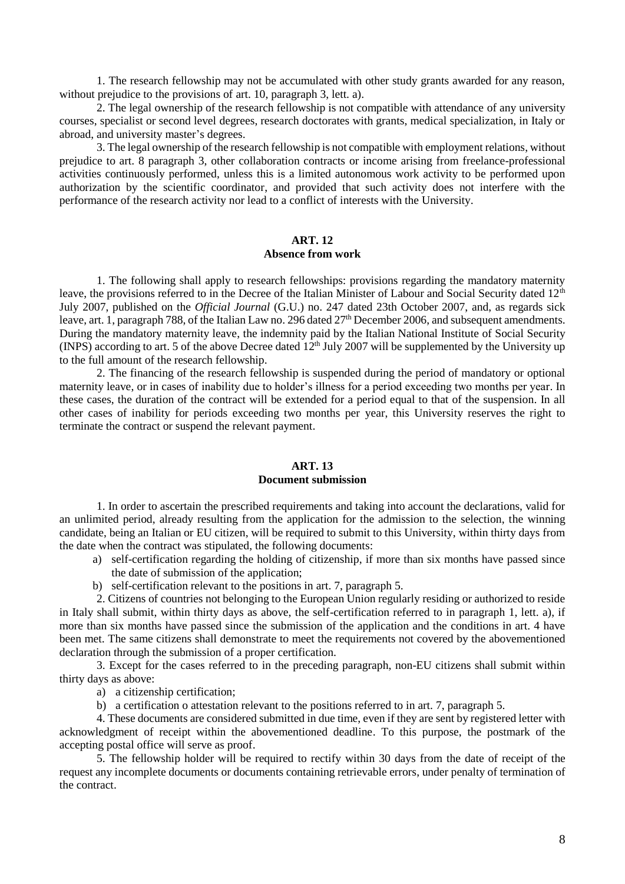1. The research fellowship may not be accumulated with other study grants awarded for any reason, without prejudice to the provisions of art. 10, paragraph 3, lett. a).

2. The legal ownership of the research fellowship is not compatible with attendance of any university courses, specialist or second level degrees, research doctorates with grants, medical specialization, in Italy or abroad, and university master's degrees.

3. The legal ownership of the research fellowship is not compatible with employment relations, without prejudice to art. 8 paragraph 3, other collaboration contracts or income arising from freelance-professional activities continuously performed, unless this is a limited autonomous work activity to be performed upon authorization by the scientific coordinator, and provided that such activity does not interfere with the performance of the research activity nor lead to a conflict of interests with the University.

## **ART. 12 Absence from work**

1. The following shall apply to research fellowships: provisions regarding the mandatory maternity leave, the provisions referred to in the Decree of the Italian Minister of Labour and Social Security dated 12<sup>th</sup> July 2007, published on the *Official Journal* (G.U.) no. 247 dated 23th October 2007, and, as regards sick leave, art. 1, paragraph 788, of the Italian Law no. 296 dated 27<sup>th</sup> December 2006, and subsequent amendments. During the mandatory maternity leave, the indemnity paid by the Italian National Institute of Social Security (INPS) according to art. 5 of the above Decree dated  $12^{th}$  July 2007 will be supplemented by the University up to the full amount of the research fellowship.

2. The financing of the research fellowship is suspended during the period of mandatory or optional maternity leave, or in cases of inability due to holder's illness for a period exceeding two months per year. In these cases, the duration of the contract will be extended for a period equal to that of the suspension. In all other cases of inability for periods exceeding two months per year, this University reserves the right to terminate the contract or suspend the relevant payment.

## **ART. 13**

#### **Document submission**

1. In order to ascertain the prescribed requirements and taking into account the declarations, valid for an unlimited period, already resulting from the application for the admission to the selection, the winning candidate, being an Italian or EU citizen, will be required to submit to this University, within thirty days from the date when the contract was stipulated, the following documents:

- a) self-certification regarding the holding of citizenship, if more than six months have passed since the date of submission of the application;
- b) self-certification relevant to the positions in art. 7, paragraph 5.

2. Citizens of countries not belonging to the European Union regularly residing or authorized to reside in Italy shall submit, within thirty days as above, the self-certification referred to in paragraph 1, lett. a), if more than six months have passed since the submission of the application and the conditions in art. 4 have been met. The same citizens shall demonstrate to meet the requirements not covered by the abovementioned declaration through the submission of a proper certification.

3. Except for the cases referred to in the preceding paragraph, non-EU citizens shall submit within thirty days as above:

a) a citizenship certification;

b) a certification o attestation relevant to the positions referred to in art. 7, paragraph 5.

4. These documents are considered submitted in due time, even if they are sent by registered letter with acknowledgment of receipt within the abovementioned deadline. To this purpose, the postmark of the accepting postal office will serve as proof.

5. The fellowship holder will be required to rectify within 30 days from the date of receipt of the request any incomplete documents or documents containing retrievable errors, under penalty of termination of the contract.